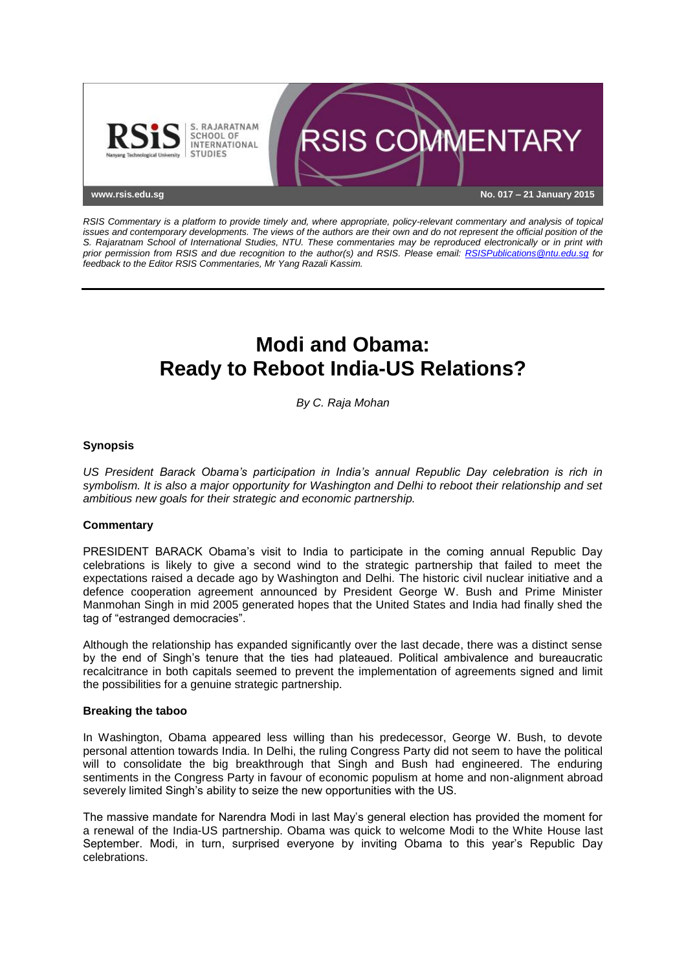

*RSIS Commentary is a platform to provide timely and, where appropriate, policy-relevant commentary and analysis of topical issues and contemporary developments. The views of the authors are their own and do not represent the official position of the S. Rajaratnam School of International Studies, NTU. These commentaries may be reproduced electronically or in print with prior permission from RSIS and due recognition to the author(s) and RSIS. Please email: [RSISPublications@ntu.edu.sg](mailto:RSISPublications@ntu.edu.sg) for feedback to the Editor RSIS Commentaries, Mr Yang Razali Kassim.*

# **Modi and Obama: Ready to Reboot India-US Relations?**

*By C. Raja Mohan*

## **Synopsis**

*US President Barack Obama's participation in India's annual Republic Day celebration is rich in symbolism. It is also a major opportunity for Washington and Delhi to reboot their relationship and set ambitious new goals for their strategic and economic partnership.*

### **Commentary**

PRESIDENT BARACK Obama's visit to India to participate in the coming annual Republic Day celebrations is likely to give a second wind to the strategic partnership that failed to meet the expectations raised a decade ago by Washington and Delhi. The historic civil nuclear initiative and a defence cooperation agreement announced by President George W. Bush and Prime Minister Manmohan Singh in mid 2005 generated hopes that the United States and India had finally shed the tag of "estranged democracies".

Although the relationship has expanded significantly over the last decade, there was a distinct sense by the end of Singh's tenure that the ties had plateaued. Political ambivalence and bureaucratic recalcitrance in both capitals seemed to prevent the implementation of agreements signed and limit the possibilities for a genuine strategic partnership.

### **Breaking the taboo**

In Washington, Obama appeared less willing than his predecessor, George W. Bush, to devote personal attention towards India. In Delhi, the ruling Congress Party did not seem to have the political will to consolidate the big breakthrough that Singh and Bush had engineered. The enduring sentiments in the Congress Party in favour of economic populism at home and non-alignment abroad severely limited Singh's ability to seize the new opportunities with the US.

The massive mandate for Narendra Modi in last May's general election has provided the moment for a renewal of the India-US partnership. Obama was quick to welcome Modi to the White House last September. Modi, in turn, surprised everyone by inviting Obama to this year's Republic Day celebrations.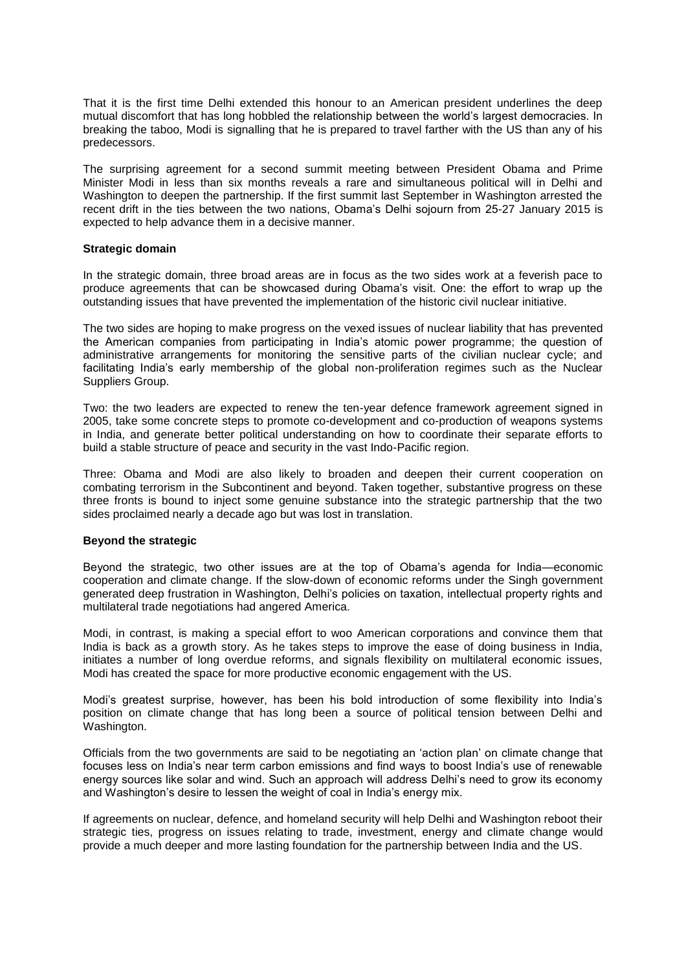That it is the first time Delhi extended this honour to an American president underlines the deep mutual discomfort that has long hobbled the relationship between the world's largest democracies. In breaking the taboo, Modi is signalling that he is prepared to travel farther with the US than any of his predecessors.

The surprising agreement for a second summit meeting between President Obama and Prime Minister Modi in less than six months reveals a rare and simultaneous political will in Delhi and Washington to deepen the partnership. If the first summit last September in Washington arrested the recent drift in the ties between the two nations, Obama's Delhi sojourn from 25-27 January 2015 is expected to help advance them in a decisive manner.

#### **Strategic domain**

In the strategic domain, three broad areas are in focus as the two sides work at a feverish pace to produce agreements that can be showcased during Obama's visit. One: the effort to wrap up the outstanding issues that have prevented the implementation of the historic civil nuclear initiative.

The two sides are hoping to make progress on the vexed issues of nuclear liability that has prevented the American companies from participating in India's atomic power programme; the question of administrative arrangements for monitoring the sensitive parts of the civilian nuclear cycle; and facilitating India's early membership of the global non-proliferation regimes such as the Nuclear Suppliers Group.

Two: the two leaders are expected to renew the ten-year defence framework agreement signed in 2005, take some concrete steps to promote co-development and co-production of weapons systems in India, and generate better political understanding on how to coordinate their separate efforts to build a stable structure of peace and security in the vast Indo-Pacific region.

Three: Obama and Modi are also likely to broaden and deepen their current cooperation on combating terrorism in the Subcontinent and beyond. Taken together, substantive progress on these three fronts is bound to inject some genuine substance into the strategic partnership that the two sides proclaimed nearly a decade ago but was lost in translation.

### **Beyond the strategic**

Beyond the strategic, two other issues are at the top of Obama's agenda for India—economic cooperation and climate change. If the slow-down of economic reforms under the Singh government generated deep frustration in Washington, Delhi's policies on taxation, intellectual property rights and multilateral trade negotiations had angered America.

Modi, in contrast, is making a special effort to woo American corporations and convince them that India is back as a growth story. As he takes steps to improve the ease of doing business in India, initiates a number of long overdue reforms, and signals flexibility on multilateral economic issues, Modi has created the space for more productive economic engagement with the US.

Modi's greatest surprise, however, has been his bold introduction of some flexibility into India's position on climate change that has long been a source of political tension between Delhi and Washington.

Officials from the two governments are said to be negotiating an 'action plan' on climate change that focuses less on India's near term carbon emissions and find ways to boost India's use of renewable energy sources like solar and wind. Such an approach will address Delhi's need to grow its economy and Washington's desire to lessen the weight of coal in India's energy mix.

If agreements on nuclear, defence, and homeland security will help Delhi and Washington reboot their strategic ties, progress on issues relating to trade, investment, energy and climate change would provide a much deeper and more lasting foundation for the partnership between India and the US.